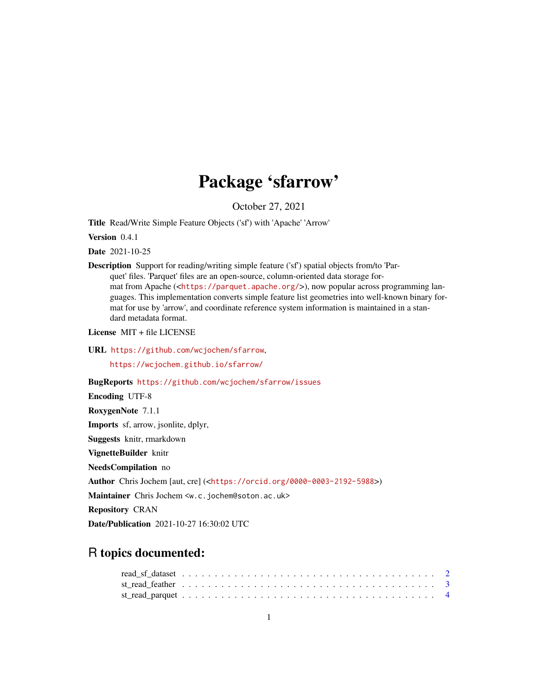## Package 'sfarrow'

October 27, 2021

<span id="page-0-0"></span>Title Read/Write Simple Feature Objects ('sf') with 'Apache' 'Arrow'

Version 0.4.1

Date 2021-10-25

Description Support for reading/writing simple feature ('sf') spatial objects from/to 'Parquet' files. 'Parquet' files are an open-source, column-oriented data storage format from Apache (<<https://parquet.apache.org/>>), now popular across programming languages. This implementation converts simple feature list geometries into well-known binary format for use by 'arrow', and coordinate reference system information is maintained in a standard metadata format.

License MIT + file LICENSE

URL <https://github.com/wcjochem/sfarrow>,

<https://wcjochem.github.io/sfarrow/>

BugReports <https://github.com/wcjochem/sfarrow/issues>

Encoding UTF-8

RoxygenNote 7.1.1

Imports sf, arrow, jsonlite, dplyr,

Suggests knitr, rmarkdown

VignetteBuilder knitr

NeedsCompilation no

Author Chris Jochem [aut, cre] (<<https://orcid.org/0000-0003-2192-5988>>)

Maintainer Chris Jochem <w.c.jochem@soton.ac.uk>

Repository CRAN

Date/Publication 2021-10-27 16:30:02 UTC

### R topics documented: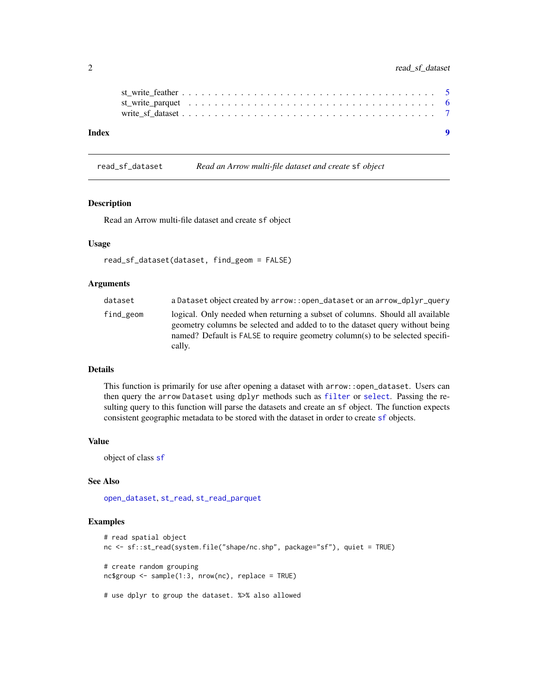#### <span id="page-1-0"></span>2 read\_sf\_dataset

|  | $\bullet$ |
|--|-----------|
|  |           |
|  |           |
|  |           |

read\_sf\_dataset *Read an Arrow multi-file dataset and create* sf *object*

#### Description

Read an Arrow multi-file dataset and create sf object

#### Usage

```
read_sf_dataset(dataset, find_geom = FALSE)
```
#### Arguments

| dataset   | a Dataset object created by arrow:: open_dataset or an arrow_dplyr_query                                                                                                                                                                                 |
|-----------|----------------------------------------------------------------------------------------------------------------------------------------------------------------------------------------------------------------------------------------------------------|
| find geom | logical. Only needed when returning a subset of columns. Should all available<br>geometry columns be selected and added to to the dataset query without being<br>named? Default is FALSE to require geometry column(s) to be selected specifi-<br>cally. |

#### Details

This function is primarily for use after opening a dataset with arrow::open\_dataset. Users can then query the arrow Dataset using dplyr methods such as [filter](#page-0-0) or [select](#page-0-0). Passing the resulting query to this function will parse the datasets and create an sf object. The function expects consistent geographic metadata to be stored with the dataset in order to create [sf](#page-0-0) objects.

#### Value

object of class [sf](#page-0-0)

#### See Also

[open\\_dataset](#page-0-0), [st\\_read](#page-0-0), [st\\_read\\_parquet](#page-3-1)

```
# read spatial object
nc <- sf::st_read(system.file("shape/nc.shp", package="sf"), quiet = TRUE)
# create random grouping
nc$group <- sample(1:3, nrow(nc), replace = TRUE)
# use dplyr to group the dataset. %>% also allowed
```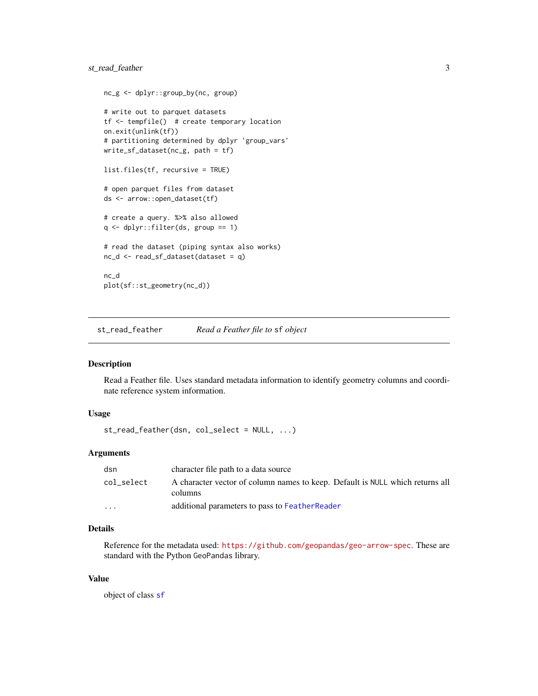```
nc_g <- dplyr::group_by(nc, group)
# write out to parquet datasets
tf <- tempfile() # create temporary location
on.exit(unlink(tf))
# partitioning determined by dplyr 'group_vars'
write_sf_dataset(nc_g, path = tf)
list.files(tf, recursive = TRUE)
# open parquet files from dataset
ds <- arrow::open_dataset(tf)
# create a query. %>% also allowed
q <- dplyr::filter(ds, group == 1)
# read the dataset (piping syntax also works)
nc_d <- read_sf_dataset(dataset = q)
nc_d
plot(sf::st_geometry(nc_d))
```
st\_read\_feather *Read a Feather file to* sf *object*

#### Description

Read a Feather file. Uses standard metadata information to identify geometry columns and coordinate reference system information.

#### Usage

st\_read\_feather(dsn, col\_select = NULL, ...)

#### **Arguments**

| dsn        | character file path to a data source                                                     |
|------------|------------------------------------------------------------------------------------------|
| col_select | A character vector of column names to keep. Default is NULL which returns all<br>columns |
| $\cdot$    | additional parameters to pass to FeatherReader                                           |

#### Details

Reference for the metadata used: <https://github.com/geopandas/geo-arrow-spec>. These are standard with the Python GeoPandas library.

#### Value

object of class [sf](#page-0-0)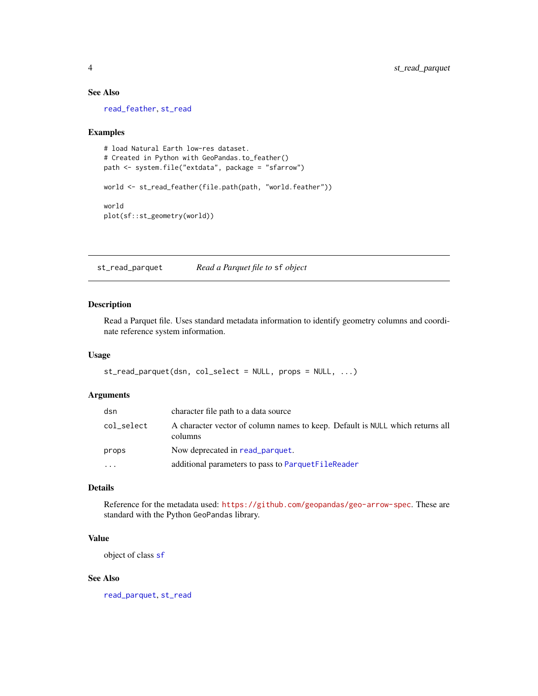#### See Also

[read\\_feather](#page-0-0), [st\\_read](#page-0-0)

#### Examples

```
# load Natural Earth low-res dataset.
# Created in Python with GeoPandas.to_feather()
path <- system.file("extdata", package = "sfarrow")
world <- st_read_feather(file.path(path, "world.feather"))
world
plot(sf::st_geometry(world))
```
<span id="page-3-1"></span>st\_read\_parquet *Read a Parquet file to* sf *object*

#### Description

Read a Parquet file. Uses standard metadata information to identify geometry columns and coordinate reference system information.

#### Usage

```
st_read_parquet(dsn, col_select = NULL, props = NULL, ...)
```
#### Arguments

| dsn        | character file path to a data source                                                     |
|------------|------------------------------------------------------------------------------------------|
| col_select | A character vector of column names to keep. Default is NULL which returns all<br>columns |
| props      | Now deprecated in read parquet.                                                          |
| $\ddots$   | additional parameters to pass to ParquetFileReader                                       |

#### Details

Reference for the metadata used: <https://github.com/geopandas/geo-arrow-spec>. These are standard with the Python GeoPandas library.

#### Value

object of class [sf](#page-0-0)

#### See Also

[read\\_parquet](#page-0-0), [st\\_read](#page-0-0)

<span id="page-3-0"></span>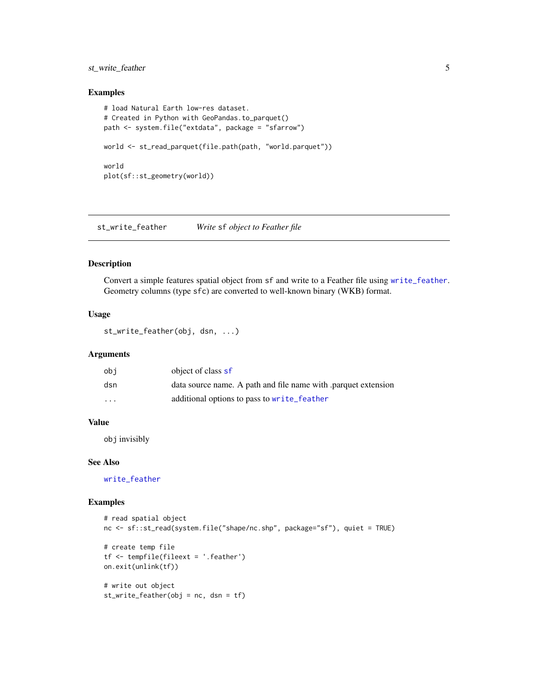#### <span id="page-4-0"></span>st\_write\_feather 5

#### Examples

```
# load Natural Earth low-res dataset.
# Created in Python with GeoPandas.to_parquet()
path <- system.file("extdata", package = "sfarrow")
world <- st_read_parquet(file.path(path, "world.parquet"))
world
plot(sf::st_geometry(world))
```
st\_write\_feather *Write* sf *object to Feather file*

#### Description

Convert a simple features spatial object from sf and write to a Feather file using [write\\_feather](#page-0-0). Geometry columns (type sfc) are converted to well-known binary (WKB) format.

#### Usage

st\_write\_feather(obj, dsn, ...)

#### Arguments

| obi      | object of class sf                                            |
|----------|---------------------------------------------------------------|
| dsn      | data source name. A path and file name with parquet extension |
| $\cdots$ | additional options to pass to write_feather                   |

#### Value

obj invisibly

#### See Also

[write\\_feather](#page-0-0)

```
# read spatial object
nc <- sf::st_read(system.file("shape/nc.shp", package="sf"), quiet = TRUE)
# create temp file
tf <- tempfile(fileext = '.feather')
on.exit(unlink(tf))
# write out object
st_write_feather(obj = nc, dsn = tf)
```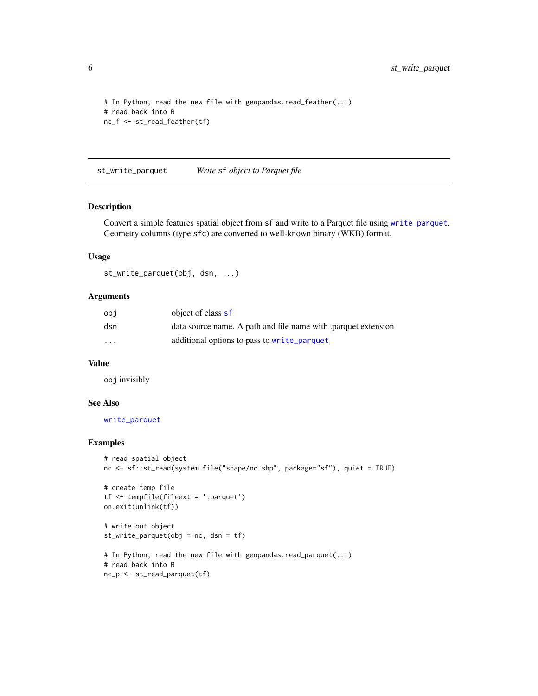```
# In Python, read the new file with geopandas.read_feather(...)
# read back into R
nc_f <- st_read_feather(tf)
```
st\_write\_parquet *Write* sf *object to Parquet file*

#### Description

Convert a simple features spatial object from sf and write to a Parquet file using [write\\_parquet](#page-0-0). Geometry columns (type sfc) are converted to well-known binary (WKB) format.

#### Usage

st\_write\_parquet(obj, dsn, ...)

#### Arguments

| obi               | object of class sf                                            |
|-------------------|---------------------------------------------------------------|
| dsn               | data source name. A path and file name with parquet extension |
| $\cdot\cdot\cdot$ | additional options to pass to write_parquet                   |

#### Value

obj invisibly

#### See Also

[write\\_parquet](#page-0-0)

```
# read spatial object
nc <- sf::st_read(system.file("shape/nc.shp", package="sf"), quiet = TRUE)
# create temp file
tf <- tempfile(fileext = '.parquet')
on.exit(unlink(tf))
# write out object
st_write_parquet(obj = nc, dsn = tf)
# In Python, read the new file with geopandas.read_parquet(...)
# read back into R
nc_p <- st_read_parquet(tf)
```
<span id="page-5-0"></span>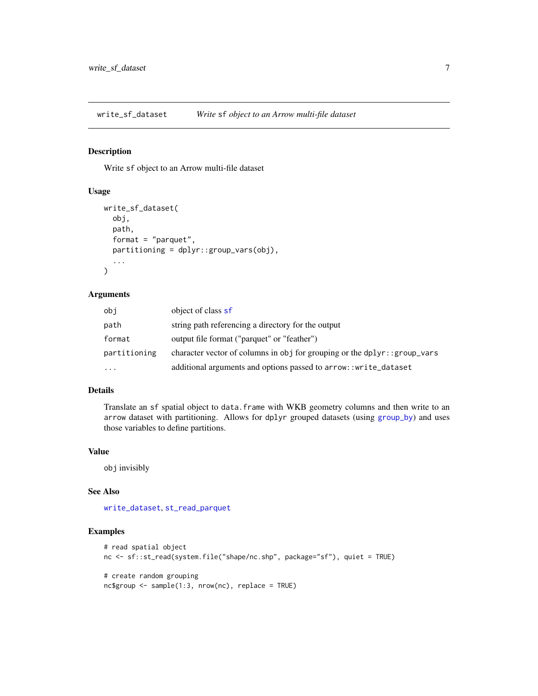<span id="page-6-0"></span>write\_sf\_dataset *Write* sf *object to an Arrow multi-file dataset*

#### Description

Write sf object to an Arrow multi-file dataset

#### Usage

```
write_sf_dataset(
  obj,
  path,
  format = "parquet",
  partitioning = dplyr::group_vars(obj),
  ...
\mathcal{L}
```
#### Arguments

| obi          | object of class sf                                                        |
|--------------|---------------------------------------------------------------------------|
| path         | string path referencing a directory for the output                        |
| format       | output file format ("parquet" or "feather")                               |
| partitioning | character vector of columns in obj for grouping or the dplyr:: group_vars |
| .            | additional arguments and options passed to arrow:: write_dataset          |

#### Details

Translate an sf spatial object to data.frame with WKB geometry columns and then write to an arrow dataset with partitioning. Allows for dplyr grouped datasets (using [group\\_by](#page-0-0)) and uses those variables to define partitions.

#### Value

obj invisibly

#### See Also

[write\\_dataset](#page-0-0), [st\\_read\\_parquet](#page-3-1)

```
# read spatial object
nc <- sf::st_read(system.file("shape/nc.shp", package="sf"), quiet = TRUE)
# create random grouping
nc$group <- sample(1:3, nrow(nc), replace = TRUE)
```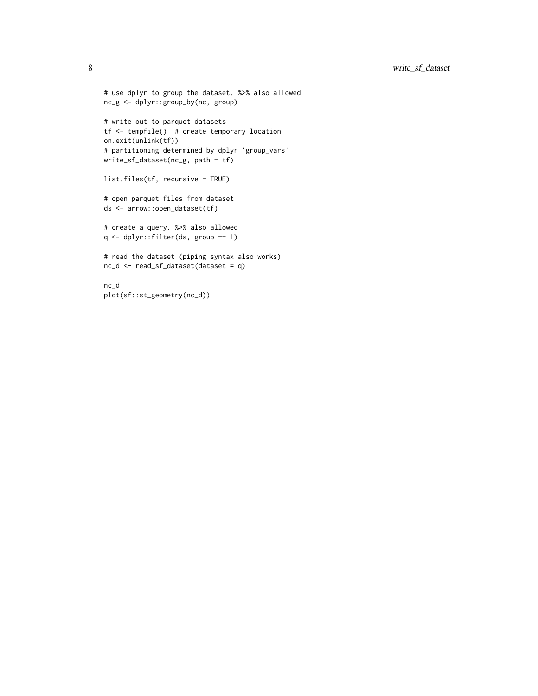```
# use dplyr to group the dataset. %>% also allowed
nc_g <- dplyr::group_by(nc, group)
# write out to parquet datasets
tf <- tempfile() # create temporary location
on.exit(unlink(tf))
# partitioning determined by dplyr 'group_vars'
write_sf_dataset(nc_g, path = tf)
list.files(tf, recursive = TRUE)
# open parquet files from dataset
ds <- arrow::open_dataset(tf)
# create a query. %>% also allowed
q <- dplyr::filter(ds, group == 1)
# read the dataset (piping syntax also works)
nc_d <- read_sf_dataset(dataset = q)
nc_d
```
plot(sf::st\_geometry(nc\_d))